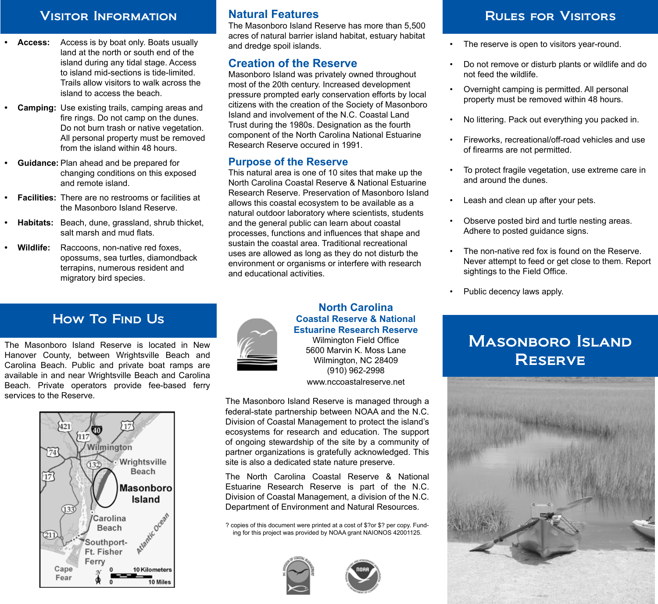### VISITOR INFORMATION **Natural Features Natural Features RULES FOR VISITORS**

- **• Access:** Access is by boat only. Boats usually land at the north or south end of the island during any tidal stage. Access to island mid-sections is tide-limited. Trails allow visitors to walk across the island to access the beach.
- **• Camping:** Use existing trails, camping areas and fire rings. Do not camp on the dunes. Do not burn trash or native vegetation. All personal property must be removed from the island within 48 hours.
- **• Guidance:** Plan ahead and be prepared for changing conditions on this exposed and remote island.
- **• Facilities:** There are no restrooms or facilities at the Masonboro Island Reserve.
- **• Habitats:** Beach, dune, grassland, shrub thicket, salt marsh and mud flats.
- **• Wildlife:** Raccoons, non-native red foxes, opossums, sea turtles, diamondback terrapins, numerous resident and migratory bird species.

# How To FIND Us

The Masonboro Island Reserve is located in New Hanover County, between Wrightsville Beach and Carolina Beach. Public and private boat ramps are available in and near Wrightsville Beach and Carolina Beach. Private operators provide fee-based ferry services to the Reserve.



#### **Natural Features**

The Masonboro Island Reserve has more than 5,500 acres of natural barrier island habitat, estuary habitat and dredge spoil islands.

#### **Creation of the Reserve**

Masonboro Island was privately owned throughout most of the 20th century. Increased development pressure prompted early conservation efforts by local citizens with the creation of the Society of Masonboro Island and involvement of the N.C. Coastal Land Trust during the 1980s. Designation as the fourth component of the North Carolina National Estuarine Research Reserve occured in 1991.

#### **Purpose of the Reserve**

This natural area is one of 10 sites that make up the North Carolina Coastal Reserve & National Estuarine Research Reserve. Preservation of Masonboro Island allows this coastal ecosystem to be available as a natural outdoor laboratory where scientists, students and the general public can learn about coastal processes, functions and influences that shape and sustain the coastal area. Traditional recreational uses are allowed as long as they do not disturb the environment or organisms or interfere with research and educational activities.

- The reserve is open to visitors year-round.
- Do not remove or disturb plants or wildlife and do not feed the wildlife.
- Overnight camping is permitted. All personal property must be removed within 48 hours.
- No littering. Pack out everything you packed in.
- Fireworks, recreational/off-road vehicles and use of firearms are not permitted.
- To protect fragile vegetation, use extreme care in and around the dunes.
- Leash and clean up after your pets.
- Observe posted bird and turtle nesting areas. Adhere to posted guidance signs.
- The non-native red fox is found on the Reserve. Never attempt to feed or get close to them. Report sightings to the Field Office.
- Public decency laws apply.

# **MASONBORO ISLAND RESERVE**





#### **North Carolina Coastal Reserve & National Estuarine Research Reserve**

Wilmington Field Office 5600 Marvin K. Moss Lane Wilmington, NC 28409 (910) 962-2998 www.nccoastalreserve.net

The Masonboro Island Reserve is managed through a federal-state partnership between NOAA and the N.C. Division of Coastal Management to protect the island's ecosystems for research and education. The support of ongoing stewardship of the site by a community of partner organizations is gratefully acknowledged. This site is also a dedicated state nature preserve.

The North Carolina Coastal Reserve & National Estuarine Research Reserve is part of the N.C. Division of Coastal Management, a division of the N.C. Department of Environment and Natural Resources.

? copies of this document were printed at a cost of \$?or \$? per copy. Funding for this project was provided by NOAA grant NAIONOS 42001125.